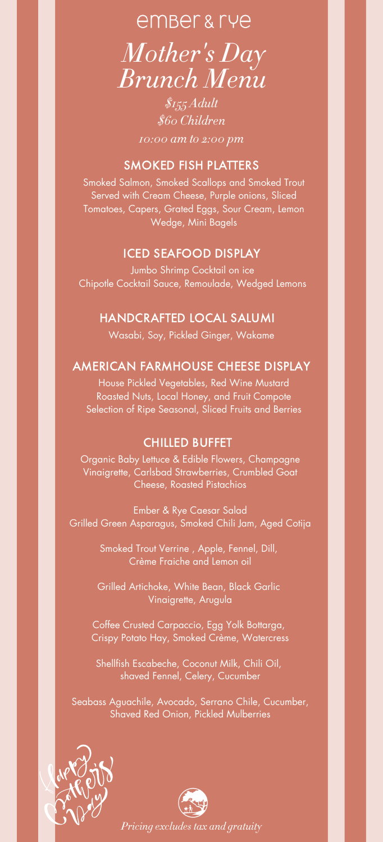# ember & rye *Mother ' s Day Brunch Menu*

*\$155 Adult \$60 Children*

*10:00 am to 2:00 pm*

# SMOKED FISH PLATTERS

Smoked Salmon, Smoked Scallops and Smoked Trout Served with Cream Cheese, Purple onions, Sliced Tomatoes, Capers, Grated Eggs, Sour Cream, Lemon Wedge, Mini Bagels

# ICED SEAFOOD DISPLAY

Jumbo Shrimp Cocktail on ice Chipotle Cocktail Sauce, Remoulade, Wedged Lemons

# HANDCRAFTED LOCAL SALUMI

Wasabi, Soy, Pickled Ginger, Wakame

# AMERICAN FARMHOUSE CHEESE DISPLAY

House Pickled Vegetables, Red Wine Mustard Roasted Nuts, Local Honey, and Fruit Compote Selection of Ripe Seasonal, Sliced Fruits and Berries

#### CHILLED BUFFET

Organic Baby Lettuce & Edible Flowers, Champagne Vinaigrette, Carlsbad Strawberries, Crumbled Goat Cheese, Roasted Pistachios

Ember & Rye Caesar Salad Grilled Green Asparagus, Smoked Chili Jam, Aged Cotija

> Smoked Trout Verrine , Apple, Fennel, Dill, Crème Fraiche and Lemon oil

Grilled Artichoke, White Bean, Black Garlic Vinaigrette, Arugula

Coffee Crusted Carpaccio, Egg Yolk Bottarga, Crispy Potato Hay, Smoked Crème, Watercress

Shellfish Escabeche, Coconut Milk, Chili Oil, shaved Fennel, Celery, Cucumber

Seabass Aguachile, Avocado, Serrano Chile, Cucumber, Shaved Red Onion, Pickled Mulberries





*Pricing excludes tax and gratuity*